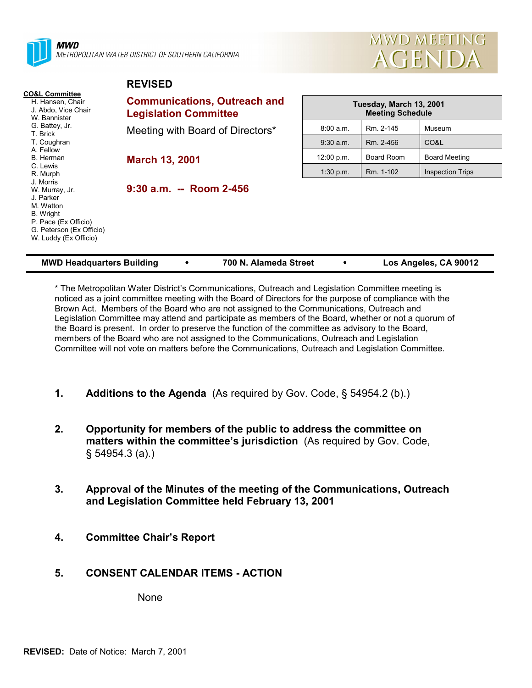

**REVISED**



|                                                                                                                                                        | <b>NLVIJLD</b>                                                      |                                                    |            |                         |  |  |  |
|--------------------------------------------------------------------------------------------------------------------------------------------------------|---------------------------------------------------------------------|----------------------------------------------------|------------|-------------------------|--|--|--|
| <b>CO&amp;L Committee</b><br>H. Hansen, Chair<br>J. Abdo, Vice Chair<br>W. Bannister<br>G. Battey, Jr.<br>T. Brick                                     | <b>Communications, Outreach and</b><br><b>Legislation Committee</b> | Tuesday, March 13, 2001<br><b>Meeting Schedule</b> |            |                         |  |  |  |
|                                                                                                                                                        | Meeting with Board of Directors*                                    | 8:00 a.m.                                          | Rm. 2-145  | Museum                  |  |  |  |
| T. Coughran                                                                                                                                            |                                                                     | $9:30$ a.m.                                        | Rm. 2-456  | CO&L                    |  |  |  |
| A. Fellow<br>B. Herman                                                                                                                                 | <b>March 13, 2001</b>                                               | 12:00 p.m.                                         | Board Room | Board Meeting           |  |  |  |
| C. Lewis<br>R. Murph                                                                                                                                   |                                                                     | 1:30 p.m.                                          | Rm. 1-102  | <b>Inspection Trips</b> |  |  |  |
| J. Morris<br>W. Murray, Jr.<br>J. Parker<br>M. Watton<br><b>B.</b> Wright<br>P. Pace (Ex Officio)<br>G. Peterson (Ex Officio)<br>W. Luddy (Ex Officio) | $9:30$ a.m. -- Room 2-456                                           |                                                    |            |                         |  |  |  |

| <b>MWD Headquarters Building</b> |  | 700 N. Alameda Street |  | Los Angeles, CA 90012 |
|----------------------------------|--|-----------------------|--|-----------------------|
|----------------------------------|--|-----------------------|--|-----------------------|

\* The Metropolitan Water District's Communications, Outreach and Legislation Committee meeting is noticed as a joint committee meeting with the Board of Directors for the purpose of compliance with the Brown Act. Members of the Board who are not assigned to the Communications, Outreach and Legislation Committee may attend and participate as members of the Board, whether or not a quorum of the Board is present. In order to preserve the function of the committee as advisory to the Board, members of the Board who are not assigned to the Communications, Outreach and Legislation Committee will not vote on matters before the Communications, Outreach and Legislation Committee.

- **1. Additions to the Agenda** (As required by Gov. Code, § 54954.2 (b).)
- **2. Opportunity for members of the public to address the committee on matters within the committee's jurisdiction** (As required by Gov. Code, § 54954.3 (a).)
- **3. Approval of the Minutes of the meeting of the Communications, Outreach and Legislation Committee held February 13, 2001**
- **4. Committee Chair's Report**

# **5. CONSENT CALENDAR ITEMS - ACTION**

None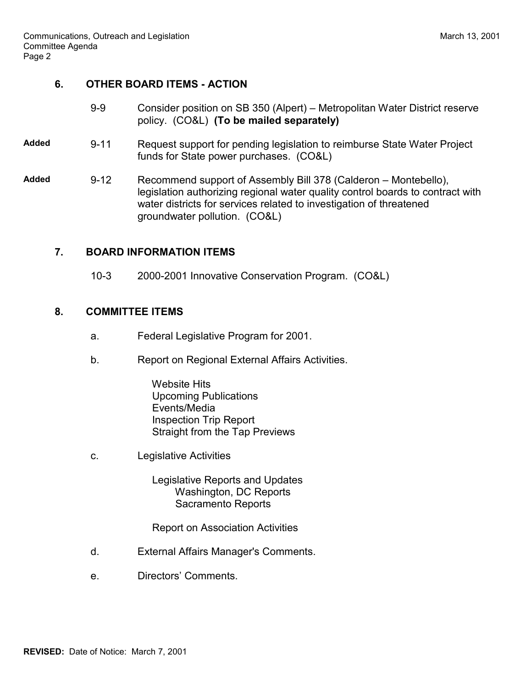# **6. OTHER BOARD ITEMS - ACTION**

- 9-9 Consider position on SB 350 (Alpert) Metropolitan Water District reserve policy. (CO&L) **(To be mailed separately)**
- **Added** 9-11 Request support for pending legislation to reimburse State Water Project funds for State power purchases. (CO&L)
- **Added** 9-12 Recommend support of Assembly Bill 378 (Calderon Montebello), legislation authorizing regional water quality control boards to contract with water districts for services related to investigation of threatened groundwater pollution. (CO&L)

### **7. BOARD INFORMATION ITEMS**

10-3 2000-2001 Innovative Conservation Program. (CO&L)

### **8. COMMITTEE ITEMS**

- a. Federal Legislative Program for 2001.
- b. Report on Regional External Affairs Activities.
	- Website Hits Upcoming Publications Events/Media Inspection Trip Report Straight from the Tap Previews
- c. Legislative Activities

 Legislative Reports and Updates Washington, DC Reports Sacramento Reports

Report on Association Activities

- d. External Affairs Manager's Comments.
- e. Directors' Comments.